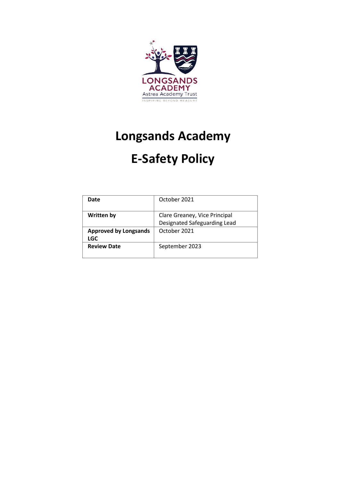

# **Longsands Academy**

# **E-Safety Policy**

| Date                         | October 2021                  |
|------------------------------|-------------------------------|
|                              |                               |
| <b>Written by</b>            | Clare Greaney, Vice Principal |
|                              | Designated Safeguarding Lead  |
| <b>Approved by Longsands</b> | October 2021                  |
| <b>LGC</b>                   |                               |
| <b>Review Date</b>           | September 2023                |
|                              |                               |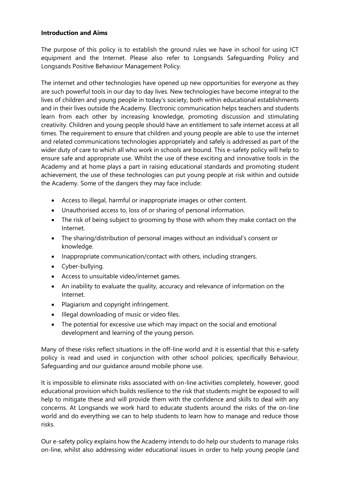#### **Introduction and Aims**

The purpose of this policy is to establish the ground rules we have in school for using ICT equipment and the Internet. Please also refer to Longsands Safeguarding Policy and Longsands Positive Behaviour Management Policy.

The internet and other technologies have opened up new opportunities for everyone as they are such powerful tools in our day to day lives. New technologies have become integral to the lives of children and young people in today's society, both within educational establishments and in their lives outside the Academy. Electronic communication helps teachers and students learn from each other by increasing knowledge, promoting discussion and stimulating creativity. Children and young people should have an entitlement to safe internet access at all times. The requirement to ensure that children and young people are able to use the internet and related communications technologies appropriately and safely is addressed as part of the wider duty of care to which all who work in schools are bound. This e-safety policy will help to ensure safe and appropriate use. Whilst the use of these exciting and innovative tools in the Academy and at home plays a part in raising educational standards and promoting student achievement, the use of these technologies can put young people at risk within and outside the Academy. Some of the dangers they may face include:

- Access to illegal, harmful or inappropriate images or other content.
- Unauthorised access to, loss of or sharing of personal information.
- The risk of being subject to grooming by those with whom they make contact on the Internet.
- The sharing/distribution of personal images without an individual's consent or knowledge.
- Inappropriate communication/contact with others, including strangers.
- Cyber-bullying.
- Access to unsuitable video/internet games.
- An inability to evaluate the quality, accuracy and relevance of information on the Internet.
- Plagiarism and copyright infringement.
- Illegal downloading of music or video files.
- The potential for excessive use which may impact on the social and emotional development and learning of the young person.

Many of these risks reflect situations in the off-line world and it is essential that this e-safety policy is read and used in conjunction with other school policies; specifically Behaviour, Safeguarding and our guidance around mobile phone use.

It is impossible to eliminate risks associated with on-line activities completely, however, good educational provision which builds resilience to the risk that students might be exposed to will help to mitigate these and will provide them with the confidence and skills to deal with any concerns. At Longsands we work hard to educate students around the risks of the on-line world and do everything we can to help students to learn how to manage and reduce those risks.

Our e-safety policy explains how the Academy intends to do help our students to manage risks on-line, whilst also addressing wider educational issues in order to help young people (and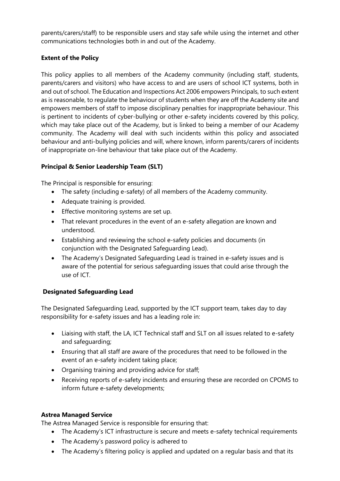parents/carers/staff) to be responsible users and stay safe while using the internet and other communications technologies both in and out of the Academy.

## **Extent of the Policy**

This policy applies to all members of the Academy community (including staff, students, parents/carers and visitors) who have access to and are users of school ICT systems, both in and out of school. The Education and Inspections Act 2006 empowers Principals, to such extent as is reasonable, to regulate the behaviour of students when they are off the Academy site and empowers members of staff to impose disciplinary penalties for inappropriate behaviour. This is pertinent to incidents of cyber-bullying or other e-safety incidents covered by this policy, which may take place out of the Academy, but is linked to being a member of our Academy community. The Academy will deal with such incidents within this policy and associated behaviour and anti-bullying policies and will, where known, inform parents/carers of incidents of inappropriate on-line behaviour that take place out of the Academy.

## **Principal & Senior Leadership Team (SLT)**

The Principal is responsible for ensuring:

- The safety (including e-safety) of all members of the Academy community.
- Adequate training is provided.
- Effective monitoring systems are set up.
- That relevant procedures in the event of an e-safety allegation are known and understood.
- Establishing and reviewing the school e-safety policies and documents (in conjunction with the Designated Safeguarding Lead).
- The Academy's Designated Safeguarding Lead is trained in e-safety issues and is aware of the potential for serious safeguarding issues that could arise through the use of ICT.

## **Designated Safeguarding Lead**

The Designated Safeguarding Lead, supported by the ICT support team, takes day to day responsibility for e-safety issues and has a leading role in:

- Liaising with staff, the LA, ICT Technical staff and SLT on all issues related to e-safety and safeguarding;
- Ensuring that all staff are aware of the procedures that need to be followed in the event of an e-safety incident taking place;
- Organising training and providing advice for staff;
- Receiving reports of e-safety incidents and ensuring these are recorded on CPOMS to inform future e-safety developments;

## **Astrea Managed Service**

The Astrea Managed Service is responsible for ensuring that:

- The Academy's ICT infrastructure is secure and meets e-safety technical requirements
- The Academy's password policy is adhered to
- The Academy's filtering policy is applied and updated on a regular basis and that its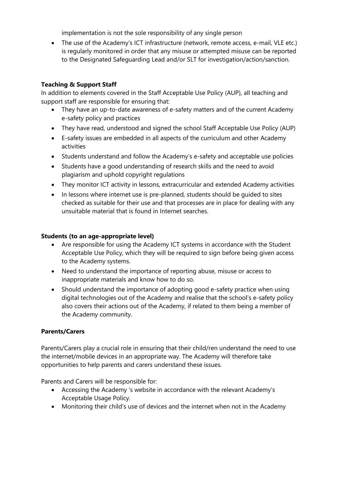implementation is not the sole responsibility of any single person

• The use of the Academy's ICT infrastructure (network, remote access, e-mail, VLE etc.) is regularly monitored in order that any misuse or attempted misuse can be reported to the Designated Safeguarding Lead and/or SLT for investigation/action/sanction.

## **Teaching & Support Staff**

In addition to elements covered in the Staff Acceptable Use Policy (AUP), all teaching and support staff are responsible for ensuring that:

- They have an up-to-date awareness of e-safety matters and of the current Academy e-safety policy and practices
- They have read, understood and signed the school Staff Acceptable Use Policy (AUP)
- E-safety issues are embedded in all aspects of the curriculum and other Academy activities
- Students understand and follow the Academy's e-safety and acceptable use policies
- Students have a good understanding of research skills and the need to avoid plagiarism and uphold copyright regulations
- They monitor ICT activity in lessons, extracurricular and extended Academy activities
- In lessons where internet use is pre-planned, students should be guided to sites checked as suitable for their use and that processes are in place for dealing with any unsuitable material that is found in Internet searches.

## **Students (to an age-appropriate level)**

- Are responsible for using the Academy ICT systems in accordance with the Student Acceptable Use Policy, which they will be required to sign before being given access to the Academy systems.
- Need to understand the importance of reporting abuse, misuse or access to inappropriate materials and know how to do so.
- Should understand the importance of adopting good e-safety practice when using digital technologies out of the Academy and realise that the school's e-safety policy also covers their actions out of the Academy, if related to them being a member of the Academy community.

## **Parents/Carers**

Parents/Carers play a crucial role in ensuring that their child/ren understand the need to use the internet/mobile devices in an appropriate way. The Academy will therefore take opportunities to help parents and carers understand these issues.

Parents and Carers will be responsible for:

- Accessing the Academy 's website in accordance with the relevant Academy's Acceptable Usage Policy.
- Monitoring their child's use of devices and the internet when not in the Academy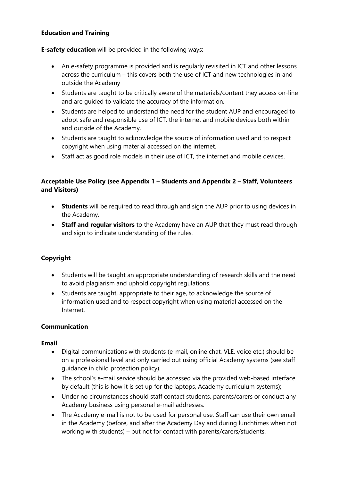## **Education and Training**

**E-safety education** will be provided in the following ways:

- An e-safety programme is provided and is regularly revisited in ICT and other lessons across the curriculum – this covers both the use of ICT and new technologies in and outside the Academy
- Students are taught to be critically aware of the materials/content they access on-line and are guided to validate the accuracy of the information.
- Students are helped to understand the need for the student AUP and encouraged to adopt safe and responsible use of ICT, the internet and mobile devices both within and outside of the Academy.
- Students are taught to acknowledge the source of information used and to respect copyright when using material accessed on the internet.
- Staff act as good role models in their use of ICT, the internet and mobile devices.

## **Acceptable Use Policy (see Appendix 1 – Students and Appendix 2 – Staff, Volunteers and Visitors)**

- **Students** will be required to read through and sign the AUP prior to using devices in the Academy.
- **Staff and regular visitors** to the Academy have an AUP that they must read through and sign to indicate understanding of the rules.

## **Copyright**

- Students will be taught an appropriate understanding of research skills and the need to avoid plagiarism and uphold copyright regulations.
- Students are taught, appropriate to their age, to acknowledge the source of information used and to respect copyright when using material accessed on the Internet.

## **Communication**

#### **Email**

- Digital communications with students (e-mail, online chat, VLE, voice etc.) should be on a professional level and only carried out using official Academy systems (see staff guidance in child protection policy).
- The school's e-mail service should be accessed via the provided web-based interface by default (this is how it is set up for the laptops, Academy curriculum systems);
- Under no circumstances should staff contact students, parents/carers or conduct any Academy business using personal e-mail addresses.
- The Academy e-mail is not to be used for personal use. Staff can use their own email in the Academy (before, and after the Academy Day and during lunchtimes when not working with students) – but not for contact with parents/carers/students.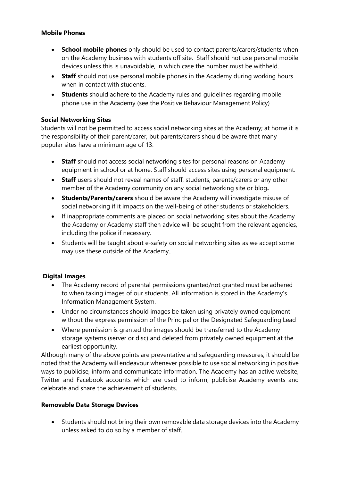## **Mobile Phones**

- **School mobile phones** only should be used to contact parents/carers/students when on the Academy business with students off site. Staff should not use personal mobile devices unless this is unavoidable, in which case the number must be withheld.
- **Staff** should not use personal mobile phones in the Academy during working hours when in contact with students.
- **Students** should adhere to the Academy rules and guidelines regarding mobile phone use in the Academy (see the Positive Behaviour Management Policy)

## **Social Networking Sites**

Students will not be permitted to access social networking sites at the Academy; at home it is the responsibility of their parent/carer, but parents/carers should be aware that many popular sites have a minimum age of 13.

- **Staff** should not access social networking sites for personal reasons on Academy equipment in school or at home. Staff should access sites using personal equipment.
- **Staff** users should not reveal names of staff, students, parents/carers or any other member of the Academy community on any social networking site or blog**.**
- **Students/Parents/carers** should be aware the Academy will investigate misuse of social networking if it impacts on the well-being of other students or stakeholders.
- If inappropriate comments are placed on social networking sites about the Academy the Academy or Academy staff then advice will be sought from the relevant agencies, including the police if necessary.
- Students will be taught about e-safety on social networking sites as we accept some may use these outside of the Academy..

## **Digital Images**

- The Academy record of parental permissions granted/not granted must be adhered to when taking images of our students. All information is stored in the Academy's Information Management System.
- Under no circumstances should images be taken using privately owned equipment without the express permission of the Principal or the Designated Safeguarding Lead
- Where permission is granted the images should be transferred to the Academy storage systems (server or disc) and deleted from privately owned equipment at the earliest opportunity.

Although many of the above points are preventative and safeguarding measures, it should be noted that the Academy will endeavour whenever possible to use social networking in positive ways to publicise, inform and communicate information. The Academy has an active website, Twitter and Facebook accounts which are used to inform, publicise Academy events and celebrate and share the achievement of students.

#### **Removable Data Storage Devices**

• Students should not bring their own removable data storage devices into the Academy unless asked to do so by a member of staff.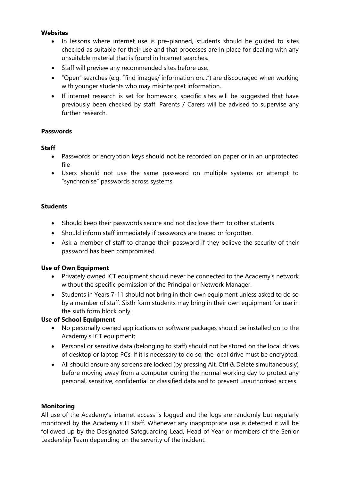### **Websites**

- In lessons where internet use is pre-planned, students should be guided to sites checked as suitable for their use and that processes are in place for dealing with any unsuitable material that is found in Internet searches.
- Staff will preview any recommended sites before use.
- "Open" searches (e.g. "find images/ information on...") are discouraged when working with younger students who may misinterpret information.
- If internet research is set for homework, specific sites will be suggested that have previously been checked by staff. Parents / Carers will be advised to supervise any further research.

### **Passwords**

### **Staff**

- Passwords or encryption keys should not be recorded on paper or in an unprotected file
- Users should not use the same password on multiple systems or attempt to "synchronise" passwords across systems

### **Students**

- Should keep their passwords secure and not disclose them to other students.
- Should inform staff immediately if passwords are traced or forgotten.
- Ask a member of staff to change their password if they believe the security of their password has been compromised.

#### **Use of Own Equipment**

- Privately owned ICT equipment should never be connected to the Academy's network without the specific permission of the Principal or Network Manager.
- Students in Years 7-11 should not bring in their own equipment unless asked to do so by a member of staff. Sixth form students may bring in their own equipment for use in the sixth form block only.

## **Use of School Equipment**

- No personally owned applications or software packages should be installed on to the Academy's ICT equipment:
- Personal or sensitive data (belonging to staff) should not be stored on the local drives of desktop or laptop PCs. If it is necessary to do so, the local drive must be encrypted.
- All should ensure any screens are locked (by pressing Alt, Ctrl & Delete simultaneously) before moving away from a computer during the normal working day to protect any personal, sensitive, confidential or classified data and to prevent unauthorised access.

#### **Monitoring**

All use of the Academy's internet access is logged and the logs are randomly but regularly monitored by the Academy's IT staff. Whenever any inappropriate use is detected it will be followed up by the Designated Safeguarding Lead, Head of Year or members of the Senior Leadership Team depending on the severity of the incident.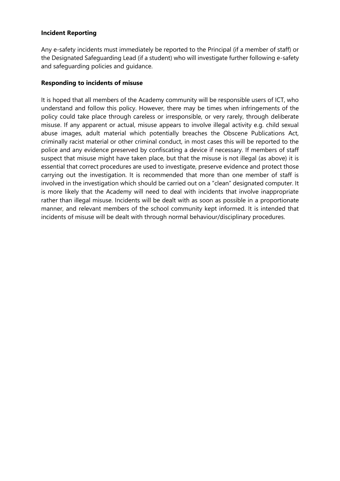### **Incident Reporting**

Any e-safety incidents must immediately be reported to the Principal (if a member of staff) or the Designated Safeguarding Lead (if a student) who will investigate further following e-safety and safeguarding policies and guidance.

### **Responding to incidents of misuse**

It is hoped that all members of the Academy community will be responsible users of ICT, who understand and follow this policy. However, there may be times when infringements of the policy could take place through careless or irresponsible, or very rarely, through deliberate misuse. If any apparent or actual, misuse appears to involve illegal activity e.g. child sexual abuse images, adult material which potentially breaches the Obscene Publications Act, criminally racist material or other criminal conduct, in most cases this will be reported to the police and any evidence preserved by confiscating a device if necessary. If members of staff suspect that misuse might have taken place, but that the misuse is not illegal (as above) it is essential that correct procedures are used to investigate, preserve evidence and protect those carrying out the investigation. It is recommended that more than one member of staff is involved in the investigation which should be carried out on a "clean" designated computer. It is more likely that the Academy will need to deal with incidents that involve inappropriate rather than illegal misuse. Incidents will be dealt with as soon as possible in a proportionate manner, and relevant members of the school community kept informed. It is intended that incidents of misuse will be dealt with through normal behaviour/disciplinary procedures.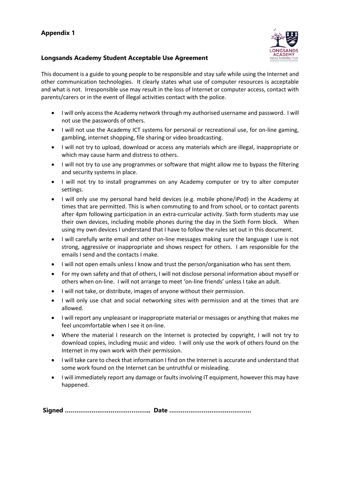## **Appendix 1**

#### **Longsands Academy Student Acceptable Use Agreement**



This document is a guide to young people to be responsible and stay safe while using the Internet and other communication technologies. It clearly states what use of computer resources is acceptable and what is not. Irresponsible use may result in the loss of Internet or computer access, contact with parents/carers or in the event of illegal activities contact with the police.

- I will only access the Academy network through my authorised username and password. I will not use the passwords of others.
- I will not use the Academy ICT systems for personal or recreational use, for on-line gaming, gambling, internet shopping, file sharing or video broadcasting.
- I will not try to upload, download or access any materials which are illegal, inappropriate or which may cause harm and distress to others.
- I will not try to use any programmes or software that might allow me to bypass the filtering and security systems in place.
- I will not try to install programmes on any Academy computer or try to alter computer settings.
- I will only use my personal hand held devices (e.g. mobile phone/iPod) in the Academy at times that are permitted. This is when commuting to and from school, or to contact parents after 4pm following participation in an extra-curricular activity. Sixth form students may use their own devices, including mobile phones during the day in the Sixth Form block. When using my own devices I understand that I have to follow the rules set out in this document.
- I will carefully write email and other on-line messages making sure the language I use is not strong, aggressive or inappropriate and shows respect for others. I am responsible for the emails I send and the contacts I make.
- I will not open emails unless I know and trust the person/organisation who has sent them.
- For my own safety and that of others, I will not disclose personal information about myself or others when on-line. I will not arrange to meet 'on-line friends' unless I take an adult.
- I will not take, or distribute, images of anyone without their permission.
- I will only use chat and social networking sites with permission and at the times that are allowed.
- I will report any unpleasant or inappropriate material or messages or anything that makes me feel uncomfortable when I see it on-line.
- Where the material I research on the Internet is protected by copyright, I will not try to download copies, including music and video. I will only use the work of others found on the Internet in my own work with their permission.
- I will take care to check that information I find on the Internet is accurate and understand that some work found on the Internet can be untruthful or misleading.
- I will immediately report any damage or faults involving IT equipment, however this may have happened.

**Signed ……………….…………………….. Date …………………………………….**